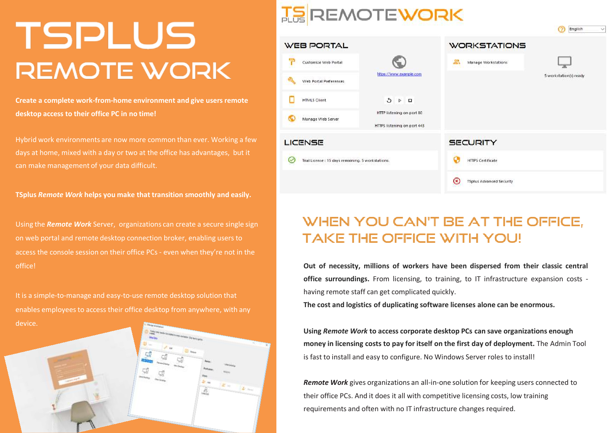# TSPLUS **REMOTE WORK**

**Create a complete work-from-home environment and give users remote desktop access to their office PC in no time!**

Hybrid work environments are now more common than ever. Working a few days at home, mixed with a day or two at the office has advantages, but it can make management of your data difficult.

**TSplus** *Remote Work* **helps you make that transition smoothly and easily.**

Using the *Remote Work* Server, organizations can create a secure single sign on web portal and remote desktop connection broker, enabling users to access the console session on their office PCs - even when they're not in the office!

It is a simple-to-manage and easy-to-use remote desktop solution that enables employees to access their office desktop from anywhere, with any



## **TE REMOTEWORK**

|                                                        |                                                          |                                             | Friday.<br>v.          |
|--------------------------------------------------------|----------------------------------------------------------|---------------------------------------------|------------------------|
| <b>WEB PORTAL</b>                                      |                                                          | <b>WORKSTATIONS</b>                         |                        |
| Ŧ<br>Customize Web Portal                              |                                                          | 2.<br>Manage Workstations                   |                        |
| Web Portal Preferences                                 | https://www.example.com                                  |                                             | 5 workstation(s) ready |
| <b>HTML5 Client</b>                                    | G<br>$\triangleright$<br>$\Box$                          |                                             |                        |
| Manage Web Server                                      | HTTP listening on port 80<br>HTTPS listening on port 443 |                                             |                        |
| LICENSE                                                |                                                          | <b>SECURITY</b>                             |                        |
| Trial License: 15 days remaining. 5 workstations.<br>✓ |                                                          | <b>HTTPS Certificate</b>                    |                        |
|                                                        |                                                          | <b>TSplus Advanced Security</b><br>$\alpha$ |                        |
|                                                        |                                                          |                                             |                        |

**Contich** 

### WHEN YOU CAN'T BE AT THE OFFICE, **TAKE THE OFFICE WITH YOU!**

**Out of necessity, millions of workers have been dispersed from their classic central office surroundings.** From licensing, to training, to IT infrastructure expansion costs having remote staff can get complicated quickly.

**The cost and logistics of duplicating software licenses alone can be enormous.**

**Using** *Remote Work* **to access corporate desktop PCs can save organizations enough money in licensing costs to pay for itself on the first day of deployment.** The Admin Tool is fast to install and easy to configure. No Windows Server roles to install!

*Remote Work* gives organizations an all-in-one solution for keeping users connected to their office PCs. And it does it all with competitive licensing costs, low training requirements and often with no IT infrastructure changes required.